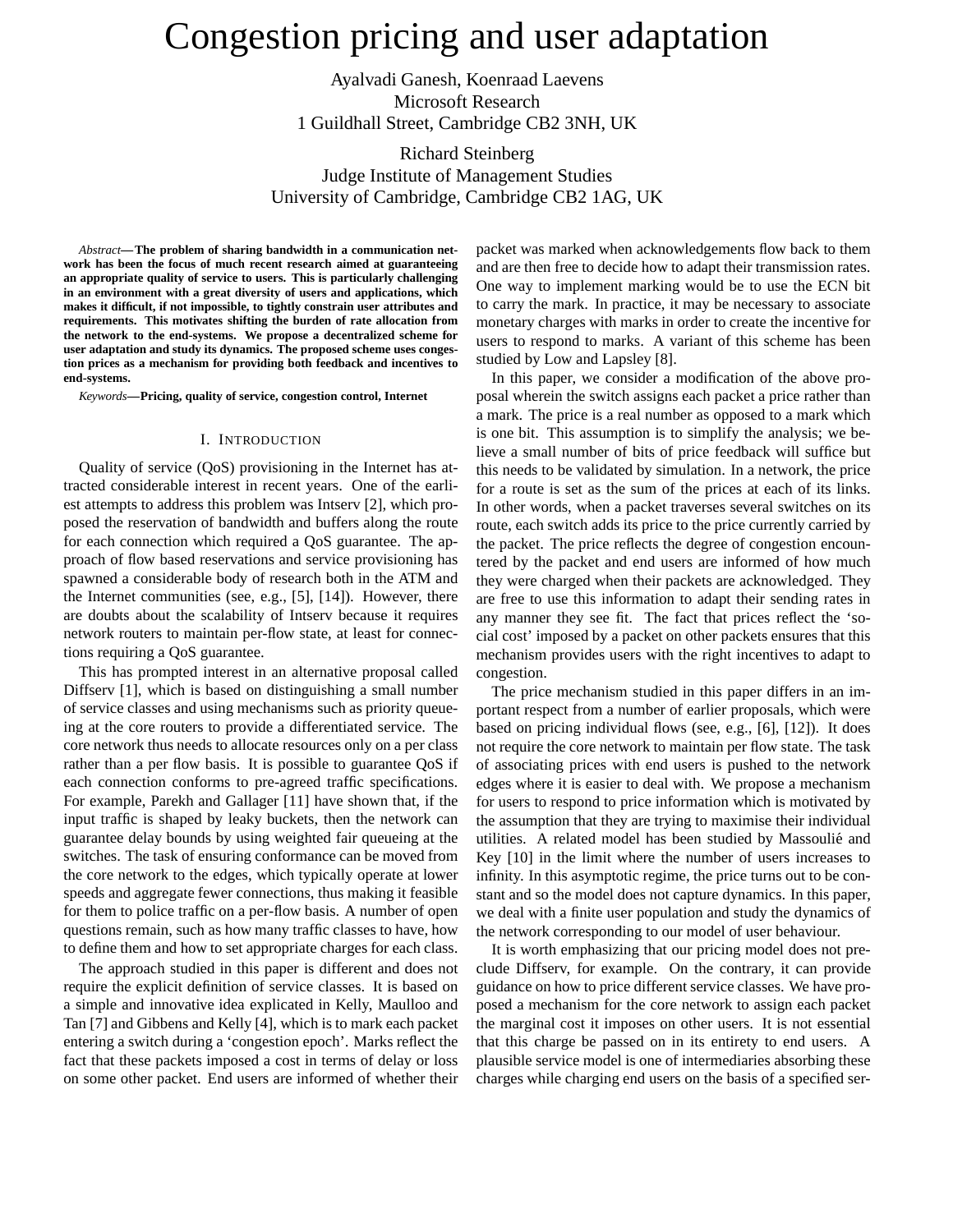# Congestion pricing and user adaptation

Ayalvadi Ganesh, Koenraad Laevens Microsoft Research 1 Guildhall Street, Cambridge CB2 3NH, UK

Richard Steinberg Judge Institute of Management Studies University of Cambridge, Cambridge CB2 1AG, UK

*Abstract***—The problem of sharing bandwidth in a communication network has been the focus of much recent research aimed at guaranteeing an appropriate quality of service to users. This is particularly challenging in an environment with a great diversity of users and applications, which makes it difficult, if not impossible, to tightly constrain user attributes and requirements. This motivates shifting the burden of rate allocation from the network to the end-systems. We propose a decentralized scheme for user adaptation and study its dynamics. The proposed scheme uses congestion prices as a mechanism for providing both feedback and incentives to end-systems.**

*Keywords***—Pricing, quality of service, congestion control, Internet**

## I. INTRODUCTION

Quality of service (QoS) provisioning in the Internet has attracted considerable interest in recent years. One of the earliest attempts to address this problem was Intserv [2], which proposed the reservation of bandwidth and buffers along the route for each connection which required a QoS guarantee. The approach of flow based reservations and service provisioning has spawned a considerable body of research both in the ATM and the Internet communities (see, e.g., [5], [14]). However, there are doubts about the scalability of Intserv because it requires network routers to maintain per-flow state, at least for connections requiring a QoS guarantee.

This has prompted interest in an alternative proposal called Diffserv [1], which is based on distinguishing a small number of service classes and using mechanisms such as priority queueing at the core routers to provide a differentiated service. The core network thus needs to allocate resources only on a per class rather than a per flow basis. It is possible to guarantee QoS if each connection conforms to pre-agreed traffic specifications. For example, Parekh and Gallager [11] have shown that, if the input traffic is shaped by leaky buckets, then the network can guarantee delay bounds by using weighted fair queueing at the switches. The task of ensuring conformance can be moved from the core network to the edges, which typically operate at lower speeds and aggregate fewer connections, thus making it feasible for them to police traffic on a per-flow basis. A number of open questions remain, such as how many traffic classes to have, how to define them and how to set appropriate charges for each class.

The approach studied in this paper is different and does not require the explicit definition of service classes. It is based on a simple and innovative idea explicated in Kelly, Maulloo and Tan [7] and Gibbens and Kelly [4], which is to mark each packet entering a switch during a 'congestion epoch'. Marks reflect the fact that these packets imposed a cost in terms of delay or loss on some other packet. End users are informed of whether their

packet was marked when acknowledgements flow back to them and are then free to decide how to adapt their transmission rates. One way to implement marking would be to use the ECN bit to carry the mark. In practice, it may be necessary to associate monetary charges with marks in order to create the incentive for users to respond to marks. A variant of this scheme has been studied by Low and Lapsley [8].

In this paper, we consider a modification of the above proposal wherein the switch assigns each packet a price rather than a mark. The price is a real number as opposed to a mark which is one bit. This assumption is to simplify the analysis; we believe a small number of bits of price feedback will suffice but this needs to be validated by simulation. In a network, the price for a route is set as the sum of the prices at each of its links. In other words, when a packet traverses several switches on its route, each switch adds its price to the price currently carried by the packet. The price reflects the degree of congestion encountered by the packet and end users are informed of how much they were charged when their packets are acknowledged. They are free to use this information to adapt their sending rates in any manner they see fit. The fact that prices reflect the 'social cost' imposed by a packet on other packets ensures that this mechanism provides users with the right incentives to adapt to congestion.

The price mechanism studied in this paper differs in an important respect from a number of earlier proposals, which were based on pricing individual flows (see, e.g., [6], [12]). It does not require the core network to maintain per flow state. The task of associating prices with end users is pushed to the network edges where it is easier to deal with. We propose a mechanism for users to respond to price information which is motivated by the assumption that they are trying to maximise their individual utilities. A related model has been studied by Massoulié and Key [10] in the limit where the number of users increases to infinity. In this asymptotic regime, the price turns out to be constant and so the model does not capture dynamics. In this paper, we deal with a finite user population and study the dynamics of the network corresponding to our model of user behaviour.

It is worth emphasizing that our pricing model does not preclude Diffserv, for example. On the contrary, it can provide guidance on how to price different service classes. We have proposed a mechanism for the core network to assign each packet the marginal cost it imposes on other users. It is not essential that this charge be passed on in its entirety to end users. A plausible service model is one of intermediaries absorbing these charges while charging end users on the basis of a specified ser-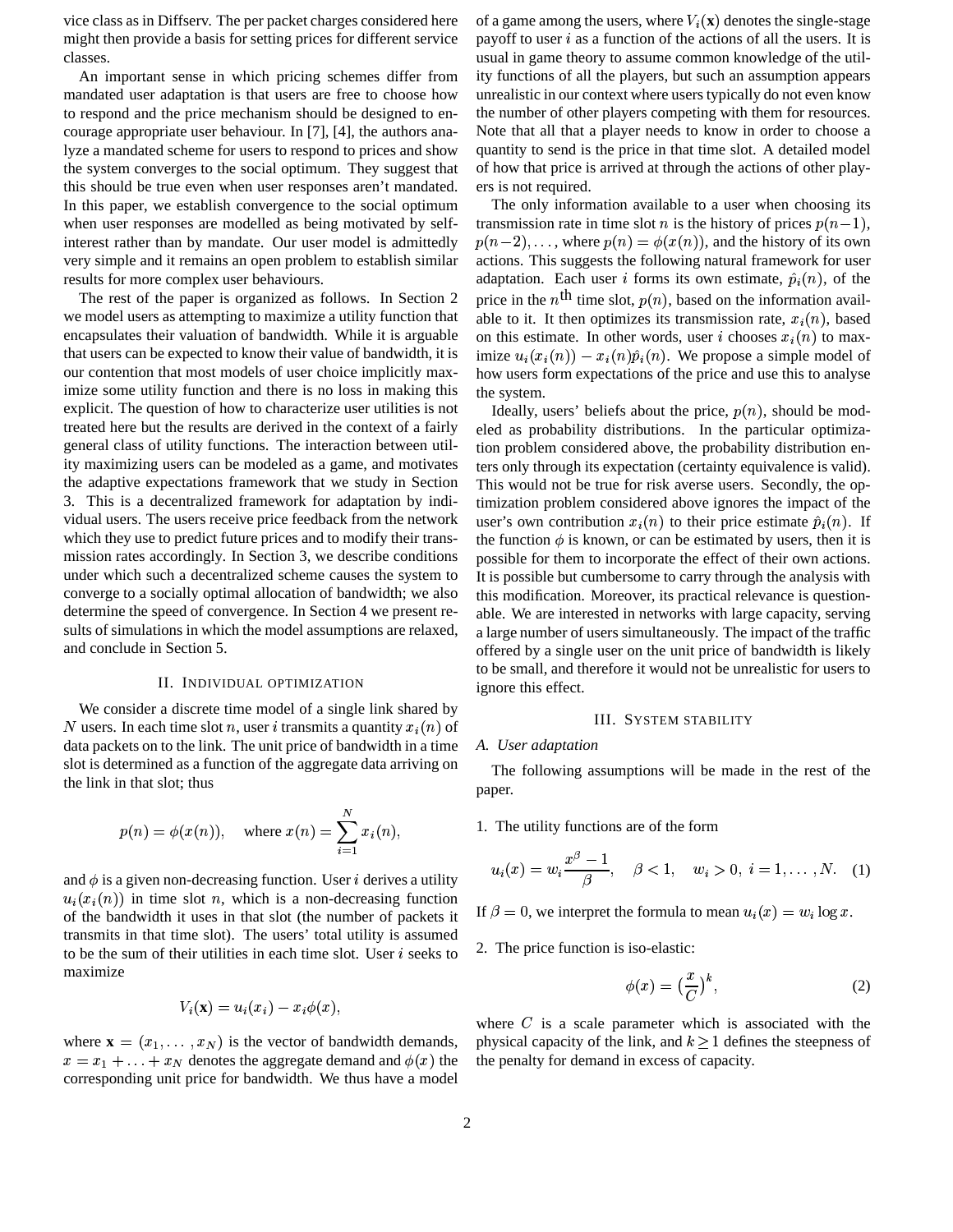vice class as in Diffserv. The per packet charges considered here might then provide a basis for setting prices for different service classes.

An important sense in which pricing schemes differ from mandated user adaptation is that users are free to choose how to respond and the price mechanism should be designed to encourage appropriate user behaviour. In [7], [4], the authors analyze a mandated scheme for users to respond to prices and show the system converges to the social optimum. They suggest that this should be true even when user responses aren't mandated. In this paper, we establish convergence to the social optimum when user responses are modelled as being motivated by selfinterest rather than by mandate. Our user model is admittedly very simple and it remains an open problem to establish similar results for more complex user behaviours.

The rest of the paper is organized as follows. In Section 2 we model users as attempting to maximize a utility function that encapsulates their valuation of bandwidth. While it is arguable that users can be expected to know their value of bandwidth, it is our contention that most models of user choice implicitly maximize some utility function and there is no loss in making this explicit. The question of how to characterize user utilities is not treated here but the results are derived in the context of a fairly general class of utility functions. The interaction between utility maximizing users can be modeled as a game, and motivates the adaptive expectations framework that we study in Section 3. This is a decentralized framework for adaptation by individual users. The users receive price feedback from the network which they use to predict future prices and to modify their transmission rates accordingly. In Section 3, we describe conditions under which such a decentralized scheme causes the system to converge to a socially optimal allocation of bandwidth; we also determine the speed of convergence. In Section 4 we present results of simulations in which the model assumptions are relaxed, and conclude in Section 5.

## II. INDIVIDUAL OPTIMIZATION

We consider a discrete time model of a single link shared by N users. In each time slot n, user i transmits a quantity  $x_i(n)$  of data packets on to the link. The unit price of bandwidth in a time slot is determined as a function of the aggregate data arriving on the link in that slot; thus

$$
p(n) = \phi(x(n)),
$$
 where  $x(n) = \sum_{i=1}^{N} x_i(n),$ 

and  $\phi$  is a given non-decreasing function. User *i* derives a utility  $u_i(x_i(n))$  in time slot n, which is a non-decreasing function of the bandwidth it uses in that slot (the number of packets it transmits in that time slot). The users' total utility is assumed to be the sum of their utilities in each time slot. User  $i$  seeks to maximize

$$
V_i(\mathbf{x}) = u_i(x_i) - x_i \phi(x),
$$

where  $\mathbf{x} = (x_1, \dots, x_N)$  is the vector of bandwidth demands,  $x = x_1 + \ldots + x_N$  denotes the aggregate demand and  $\phi(x)$  the corresponding unit price for bandwidth. We thus have a model

of a game among the users, where  $V_i(\mathbf{x})$  denotes the single-stage payoff to user  $i$  as a function of the actions of all the users. It is usual in game theory to assume common knowledge of the utility functions of all the players, but such an assumption appears unrealistic in our context where users typically do not even know the number of other players competing with them for resources. Note that all that a player needs to know in order to choose a quantity to send is the price in that time slot. A detailed model of how that price is arrived at through the actions of other players is not required.

The only information available to a user when choosing its transmission rate in time slot *n* is the history of prices  $p(n-1)$ ,  $p(n-2), \ldots$ , where  $p(n) = \phi(x(n))$ , and the history of its own actions. This suggests the following natural framework for user adaptation. Each user *i* forms its own estimate,  $\hat{p}_i(n)$ , of the price in the  $n^{\text{th}}$  time slot,  $p(n)$ , based on the information available to it. It then optimizes its transmission rate,  $x_i(n)$ , based on this estimate. In other words, user *i* chooses  $x_i(n)$  to maximize  $u_i(x_i(n)) - x_i(n)\hat{p}_i(n)$ . We propose a simple model of how users form expectations of the price and use this to analyse the system.

Ideally, users' beliefs about the price,  $p(n)$ , should be modeled as probability distributions. In the particular optimization problem considered above, the probability distribution enters only through its expectation (certainty equivalence is valid). This would not be true for risk averse users. Secondly, the optimization problem considered above ignores the impact of the user's own contribution  $x_i(n)$  to their price estimate  $\hat{p}_i(n)$ . If the function  $\phi$  is known, or can be estimated by users, then it is possible for them to incorporate the effect of their own actions. It is possible but cumbersome to carry through the analysis with this modification. Moreover, its practical relevance is questionable. We are interested in networks with large capacity, serving a large number of users simultaneously. The impact of the traffic offered by a single user on the unit price of bandwidth is likely to be small, and therefore it would not be unrealistic for users to ignore this effect.

# III. SYSTEM STABILITY

## *A. User adaptation*

The following assumptions will be made in the rest of the paper.

 $\sum_{r_i(n)}$  1. The utility functions are of the form

$$
u_i(x) = w_i \frac{x^{\beta} - 1}{\beta}, \quad \beta < 1, \quad w_i > 0, \ i = 1, \dots, N. \quad (1)
$$

If  $\beta = 0$ , we interpret the formula to mean  $u_i(x) = w_i \log x$ .

2. The price function is iso-elastic:

$$
\phi(x) = \left(\frac{x}{C}\right)^k,\tag{2}
$$

where  $C$  is a scale parameter which is associated with the physical capacity of the link, and  $k > 1$  defines the steepness of the penalty for demand in excess of capacity.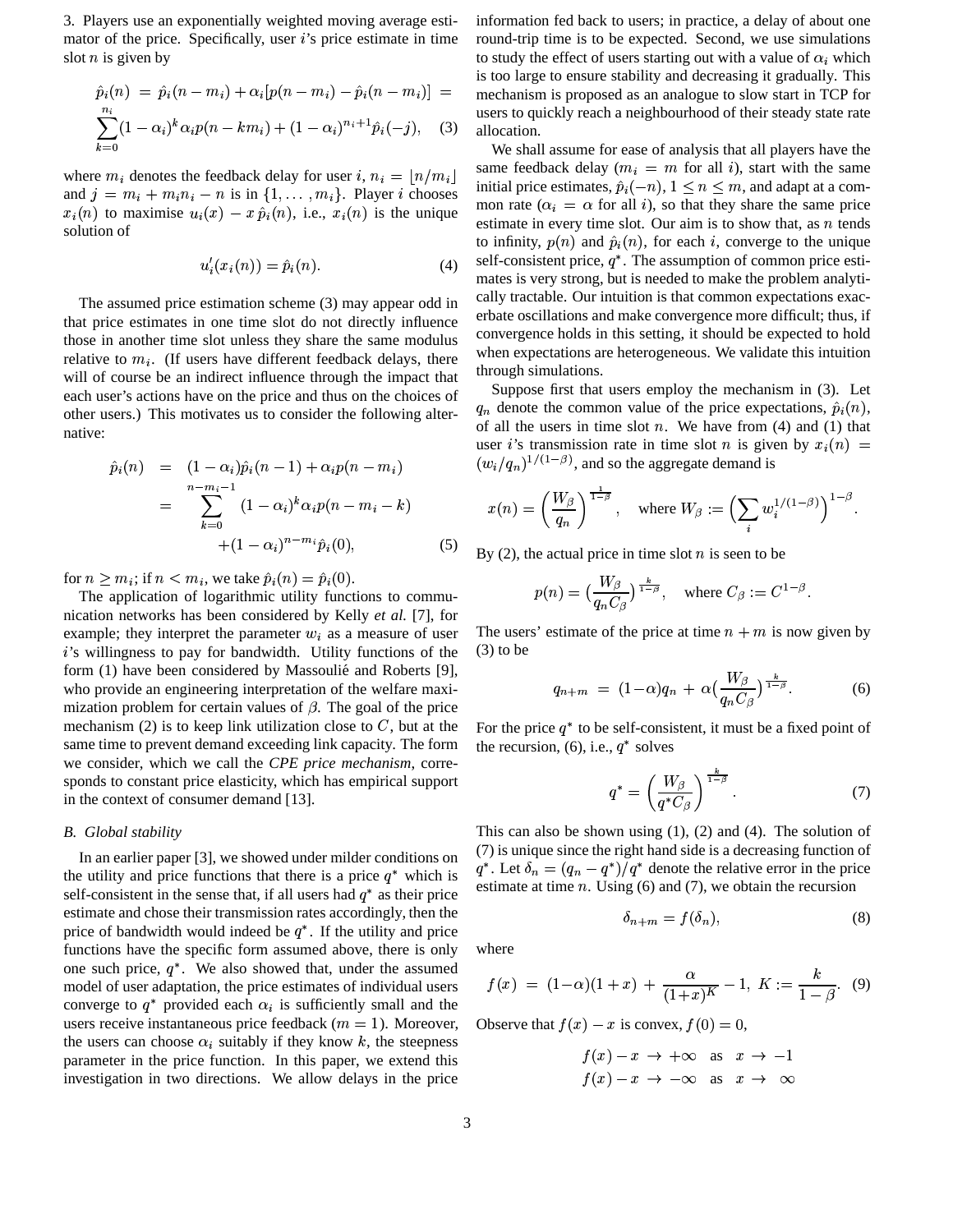3. Players use an exponentially weighted moving average estimator of the price. Specifically, user *i*'s price estimate in time slot  $n$  is given by

$$
\hat{p}_i(n) = \hat{p}_i(n - m_i) + \alpha_i[p(n - m_i) - \hat{p}_i(n - m_i)] =
$$
  

$$
\sum_{k=0}^{n_i} (1 - \alpha_i)^k \alpha_i p(n - km_i) + (1 - \alpha_i)^{n_i + 1} \hat{p}_i(-j),
$$
 (3)

where  $m_i$  denotes the feedback delay for user i,  $n_i = \lfloor n/m_i \rfloor$ and  $j = m_i + m_i n_i - n$  is in  $\{1, \ldots, m_i\}$ . Player *i* chooses  $x_i(n)$  to maximise  $u_i(x) - x \hat{p}_i(n)$ , i.e.,  $x_i(n)$  is the unique solution of

$$
u_i'(x_i(n)) = \hat{p}_i(n). \tag{4}
$$

The assumed price estimation scheme (3) may appear odd in that price estimates in one time slot do not directly influence those in another time slot unless they share the same modulus relative to  $m_i$ . (If users have different feedback delays, there will of course be an indirect influence through the impact that each user's actions have on the price and thus on the choices of other users.) This motivates us to consider the following alternative:

$$
\hat{p}_i(n) = (1 - \alpha_i)\hat{p}_i(n-1) + \alpha_i p(n-m_i) \n= \sum_{k=0}^{n-m_i-1} (1 - \alpha_i)^k \alpha_i p(n-m_i-k) \n+ (1 - \alpha_i)^{n-m_i} \hat{p}_i(0),
$$
\n(5)

for  $n \geq m_i$ ; if  $n < m_i$ , we take  $\hat{p}_i(n) = \hat{p}_i(0)$ .

The application of logarithmic utility functions to communication networks has been considered by Kelly *et al.* [7], for example; they interpret the parameter  $w_i$  as a measure of user 's willingness to pay for bandwidth. Utility functions of the form (1) have been considered by Massoulié and Roberts [9], who provide an engineering interpretation of the welfare maximization problem for certain values of  $\beta$ . The goal of the price mechanism (2) is to keep link utilization close to  $C$ , but at the  $F<sub>C</sub>$ same time to prevent demand exceeding link capacity. The form we consider, which we call the *CPE price mechanism*, corresponds to constant price elasticity, which has empirical support in the context of consumer demand [13].

## *B. Global stability*

In an earlier paper [3], we showed under milder conditions on the utility and price functions that there is a price  $q^*$  which is self-consistent in the sense that, if all users had  $q^*$  as their price estimate and chose their transmission rates accordingly, then the price of bandwidth would indeed be  $q^*$ . If the utility and price functions have the specific form assumed above, there is only one such price,  $q^*$ . We also showed that, under the assumed model of user adaptation, the price estimates of individual users converge to  $q^*$  provided each  $\alpha_i$  is sufficiently small and the users receive instantaneous price feedback ( $m = 1$ ). Moreover, the users can choose  $\alpha_i$  suitably if they know k, the steepness parameter in the price function. In this paper, we extend this investigation in two directions. We allow delays in the price

 $\lvert \cdot \rvert$  = mechanism is proposed as an analogue to slow start in TCP for information fed back to users; in practice, a delay of about one round-trip time is to be expected. Second, we use simulations to study the effect of users starting out with a value of  $\alpha_i$  which is too large to ensure stability and decreasing it gradually. This users to quickly reach a neighbourhood of their steady state rate allocation.

> We shall assume for ease of analysis that all players have the same feedback delay ( $m_i = m$  for all *i*), start with the same initial price estimates,  $\hat{p}_i(-n)$ ,  $1 \leq n \leq m$ , and adapt at a common rate ( $\alpha_i = \alpha$  for all *i*), so that they share the same price estimate in every time slot. Our aim is to show that, as  $n$  tends to infinity,  $p(n)$  and  $\hat{p}_i(n)$ , for each i, converge to the unique self-consistent price,  $q^*$ . The assumption of common price estimates is very strong, but is needed to make the problem analytically tractable. Our intuition is that common expectations exacerbate oscillations and make convergence more difficult; thus, if convergence holds in this setting, it should be expected to hold when expectations are heterogeneous. We validate this intuition through simulations.

Suppose first that users employ the mechanism in (3). Let  $q_n$  denote the common value of the price expectations,  $\hat{p}_i(n)$ , of all the users in time slot  $n$ . We have from (4) and (1) that user *i*'s transmission rate in time slot *n* is given by  $x_i(n) =$  $(w_i/q_n)^{1/(1-\beta)}$ , and so the aggregate demand is

$$
x(n)=\left(\frac{W_\beta}{q_n}\right)^{\frac{1}{1-\beta}}, \quad \text{where } W_\beta:=\Bigl(\sum_i w_i^{1/(1-\beta)}\Bigr)^{1-\beta}.
$$

By (2), the actual price in time slot  $n$  is seen to be

$$
p(n)=\big(\frac{W_\beta}{q_nC_\beta}\big)^{\frac{k}{1-\beta}}, \quad \text{where } C_\beta:=C^{1-\beta}.
$$

The users' estimate of the price at time  $n + m$  is now given by (3) to be

$$
q_{n+m} = (1-\alpha)q_n + \alpha \left(\frac{W_\beta}{q_nC_\beta}\right)^{\frac{k}{1-\beta}}.\tag{6}
$$

For the price  $q^*$  to be self-consistent, it must be a fixed point of the recursion, (6), i.e.,  $q^*$  solves

$$
q^* = \left(\frac{W_\beta}{q^* C_\beta}\right)^{\frac{k}{1-\beta}}.\tag{7}
$$

This can also be shown using (1), (2) and (4). The solution of (7) is unique since the right hand side is a decreasing function of  $q^*$ . Let  $\delta_n = (q_n - q^*)/q^*$  denote the relative error in the price estimate at time  $n$ . Using (6) and (7), we obtain the recursion

$$
\delta_{n+m} = f(\delta_n),\tag{8}
$$

where

$$
f(x) = (1 - \alpha)(1 + x) + \frac{\alpha}{(1 + x)^K} - 1, K := \frac{k}{1 - \beta}.
$$
 (9)

Observe that  $f(x) - x$  is convex,  $f(0) = 0$ ,

$$
f(x) - x \to +\infty \quad \text{as} \quad x \to -1
$$
  

$$
f(x) - x \to -\infty \quad \text{as} \quad x \to \infty
$$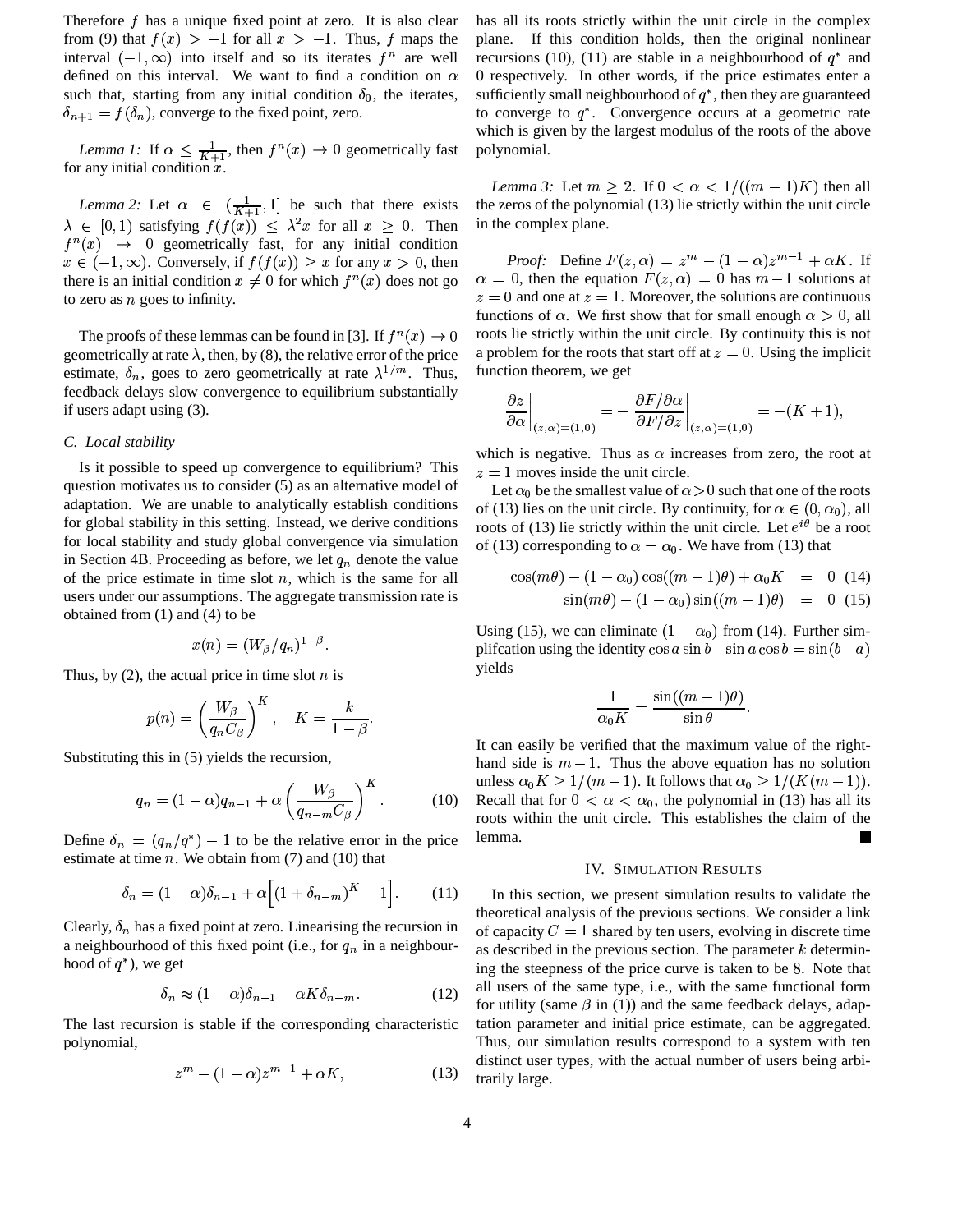Therefore  $f$  has a unique fixed point at zero. It is also clear from (9) that  $f(x) > -1$  for all  $x > -1$ . Thus, f maps the interval  $(-1, \infty)$  into itself and so its iterates  $f^n$  are well defined on this interval. We want to find a condition on  $\alpha$ such that, starting from any initial condition  $\delta_0$ , the iterates,  $\delta_{n+1} = f(\delta_n)$ , converge to the fixed point, zero.

*Lemma 1:* If  $\alpha \leq \frac{1}{K+1}$ , then  $f^{n}(x) \to 0$  geometrically fast for any initial condition  $x$ .

*Lemma* 2: Let  $\alpha \in (\frac{1}{K+1}, 1]$  be such that there exists  $\lambda \in [0,1)$  satisfying  $f(f(x)) \leq \lambda^2 x$  for all  $x \geq 0$ . Then  $f^{n}(x) \rightarrow 0$  geometrically fast, for any initial condition  $x \in (-1,\infty)$ . Conversely, if  $f(f(x)) \ge x$  for any  $x > 0$ , then there is an initial condition  $x \neq 0$  for which  $f^{(n)}(x)$  does not go to zero as  $n$  goes to infinity.

The proofs of these lemmas can be found in [3]. If  $f^{n}(x) \rightarrow 0$  roots lie strictly geometrically at rate  $\lambda$ , then, by (8), the relative error of the price estimate,  $\delta_n$ , goes to zero geometrically at rate  $\lambda^{1/m}$ . Thus, fun feedback delays slow convergence to equilibrium substantially if users adapt using (3).

## *C. Local stability*

Is it possible to speed up convergence to equilibrium? This question motivates us to consider (5) as an alternative model of adaptation. We are unable to analytically establish conditions for global stability in this setting. Instead, we derive conditions for local stability and study global convergence via simulation in Section 4B. Proceeding as before, we let  $q_n$  denote the value of the price estimate in time slot  $n$ , which is the same for all users under our assumptions. The aggregate transmission rate is obtained from (1) and (4) to be

$$
x(n)=(W_{\beta}/q_n)^{1-\beta}.
$$

Thus, by (2), the actual price in time slot  $n$  is

$$
p(n)=\left(\frac{W_\beta}{q_nC_\beta}\right)^K\,,\quad K=\frac{k}{1-\beta}.
$$

Substituting this in (5) yields the recursion,

$$
q_n = (1 - \alpha)q_{n-1} + \alpha \left(\frac{W_{\beta}}{q_{n-m}C_{\beta}}\right)^K.
$$
 (10)

Define  $\delta_n = (q_n/q^*) - 1$  to be the relative error in the price estimate at time  $n$ . We obtain from (7) and (10) that

$$
\delta_n = (1 - \alpha)\delta_{n-1} + \alpha \left[ (1 + \delta_{n-m})^K - 1 \right].
$$
 (11)

Clearly,  $\delta_n$  has a fixed point at zero. Linearising the recursion in a neighbourhood of this fixed point (i.e., for  $q_n$  in a neighbourhood of  $q^*$ ), we get

$$
\delta_n \approx (1 - \alpha)\delta_{n-1} - \alpha K \delta_{n-m}.
$$
 (12)

The last recursion is stable if the corresponding characteristic polynomial,

$$
z^m - (1 - \alpha)z^{m-1} + \alpha K, \qquad (13)
$$

has all its roots strictly within the unit circle in the complex plane. If this condition holds, then the original nonlinear recursions (10), (11) are stable in a neighbourhood of  $q^*$  and 0 respectively. In other words, if the price estimates enter a sufficiently small neighbourhood of  $q^*$ , then they are guaranteed to converge to  $q^*$ . Convergence occurs at a geometric rate which is given by the largest modulus of the roots of the above polynomial.

*Lemma* 3: Let  $m \geq 2$ . If  $0 < \alpha < 1/((m-1)K)$  then all the zeros of the polynomial (13) lie strictly within the unit circle in the complex plane.

*Proof:* Define  $F(z, \alpha) = z^m - (1 - \alpha)z^{m-1} + \alpha K$ . If *Proof:* Define  $F(z, \alpha) = z^m - (1 - \alpha)z^{m-1} + \alpha K$ . If  $\alpha = 0$ , then the equation  $F(z, \alpha) = 0$  has  $m-1$  solutions at = 0, then the equation  $F(z, \alpha) = 0$  has  $m-1$  solutions at = 0 and one at  $z = 1$ . Moreover, the solutions are continuous functions of  $\alpha$ . We first show that for small enough  $\alpha > 0$ , all roots lie strictly within the unit circle. By continuity this is not a problem for the roots that start off at  $z = 0$ . Using the implicit function theorem, we get

$$
\left. \frac{\partial z}{\partial \alpha} \right|_{(z,\alpha)=(1,0)} = -\left. \frac{\partial F/\partial \alpha}{\partial F/\partial z} \right|_{(z,\alpha)=(1,0)} = -(K+1),
$$

which is negative. Thus as  $\alpha$  increases from zero, the root at  $z = 1$  moves inside the unit circle.

Let  $\alpha_0$  be the smallest value of  $\alpha > 0$  such that one of the roots of (13) lies on the unit circle. By continuity, for  $\alpha \in (0, \alpha_0)$ , all roots of (13) lie strictly within the unit circle. Let  $e^{i\theta}$  be a root of (13) corresponding to  $\alpha = \alpha_0$ . We have from (13) that

$$
\cos(m\theta) - (1 - \alpha_0)\cos((m - 1)\theta) + \alpha_0 K = 0
$$
 (14)  

$$
\sin(m\theta) - (1 - \alpha_0)\sin((m - 1)\theta) = 0
$$
 (15)

Using (15), we can eliminate  $(1 - \alpha_0)$  from (14). Further simplifcation using the identity  $\cos a \sin b - \sin a \cos b = \sin(b - a)$ yields

$$
\frac{1}{\alpha_0 K} = \frac{\sin((m-1)\theta)}{\sin \theta}.
$$

It can easily be verified that the maximum value of the righthand side is  $m - 1$ . Thus the above equation has no solution unless  $\alpha_0 K \geq 1/(m-1)$ . It follows that  $\alpha_0 \geq 1/(K(m-1))$ . Recall that for  $0 < \alpha < \alpha_0$ , the polynomial in (13) has all its roots within the unit circle. This establishes the claim of the lemma.

## IV. SIMULATION RESULTS

In this section, we present simulation results to validate the theoretical analysis of the previous sections. We consider a link of capacity  $C = 1$  shared by ten users, evolving in discrete time as described in the previous section. The parameter  $k$  determining the steepness of the price curve is taken to be <sup>Ð</sup>. Note that all users of the same type, i.e., with the same functional form for utility (same  $\beta$  in (1)) and the same feedback delays, adaptation parameter and initial price estimate, can be aggregated. Thus, our simulation results correspond to a system with ten distinct user types, with the actual number of users being arbitrarily large.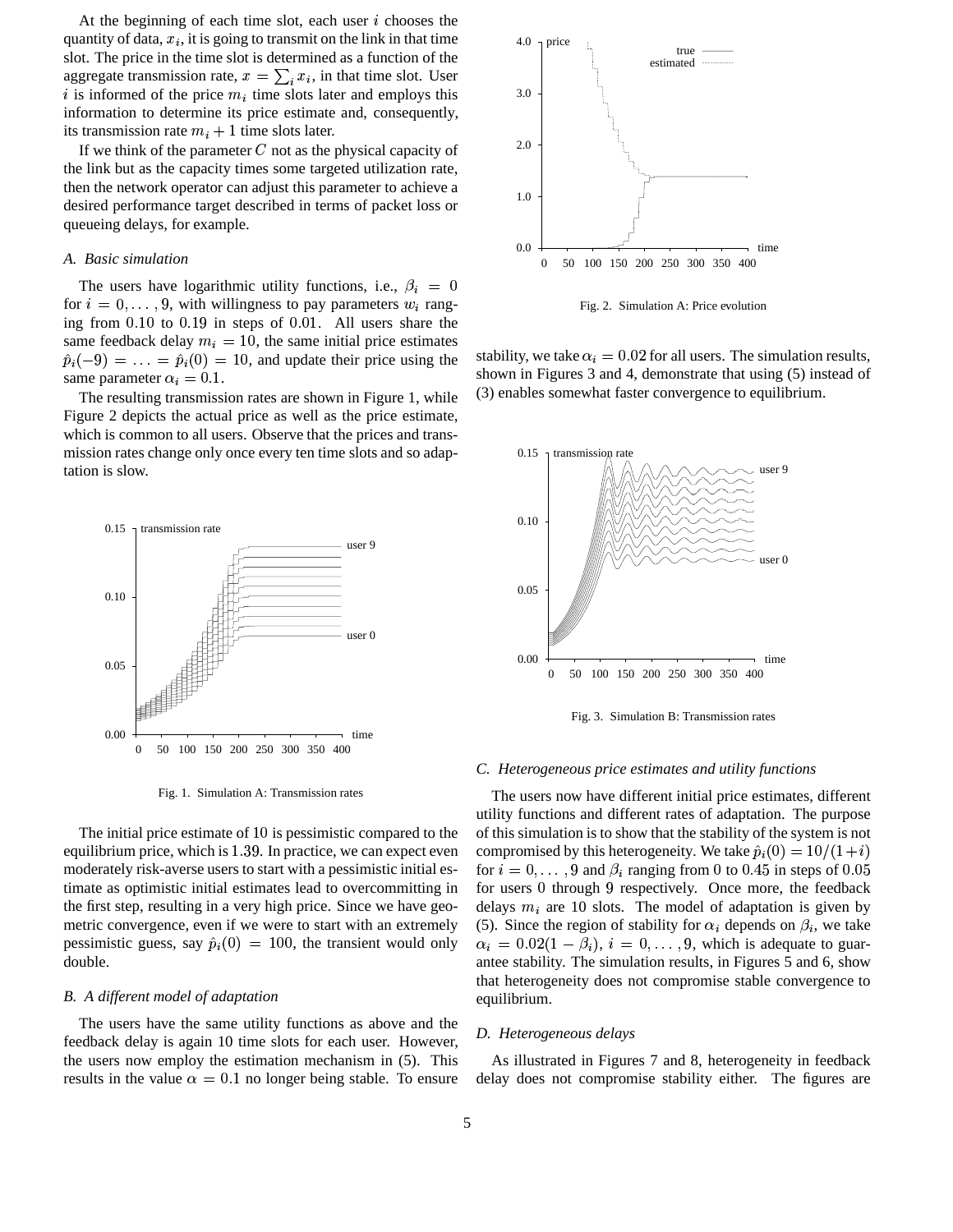At the beginning of each time slot, each user  $i$  chooses the quantity of data,  $x_i$ , it is going to transmit on the link in that time slot. The price in the time slot is determined as a function of the aggregate transmission rate,  $x = \sum_i x_i$ , in that time slot. User i is informed of the price  $m_i$  time slots later and employs this information to determine its price estimate and, consequently, its transmission rate  $m_i + 1$  time slots later.

If we think of the parameter  $C$  not as the physical capacity of the link but as the capacity times some targeted utilization rate, then the network operator can adjust this parameter to achieve a desired performance target described in terms of packet loss or queueing delays, for example.

# *A. Basic simulation*

The users have logarithmic utility functions, i.e.,  $\beta_i = 0$ for  $i = 0, \ldots, 9$ , with willingness to pay parameters  $w_i$  ranging from  $0.10$  to  $0.19$  in steps of  $0.01$ . All users share the same feedback delay  $m_i = 10$ , the same initial price estimates  $\hat{p}_i(-9) = \ldots = \hat{p}_i(0) = 10$ , and update their price using the same parameter  $\alpha_i = 0.1$ .

The resulting transmission rates are shown in Figure 1, while Figure 2 depicts the actual price as well as the price estimate, which is common to all users. Observe that the prices and transmission rates change only once every ten time slots and so adaptation is slow.



Fig. 1. Simulation A: Transmission rates

The initial price estimate of  $10$  is pessimistic compared to the equilibrium price, which is  $1.39$ . In practice, we can expect even moderately risk-averse users to start with a pessimistic initial estimate as optimistic initial estimates lead to overcommitting in the first step, resulting in a very high price. Since we have geometric convergence, even if we were to start with an extremely pessimistic guess, say  $\hat{p}_i(0) = 100$ , the transient would only double.

## *B. A different model of adaptation*

The users have the same utility functions as above and the feedback delay is again 10 time slots for each user. However, the users now employ the estimation mechanism in (5). This results in the value  $\alpha = 0.1$  no longer being stable. To ensure



Fig. 2. Simulation A: Price evolution

stability, we take  $\alpha_i = 0.02$  for all users. The simulation results, shown in Figures 3 and 4, demonstrate that using (5) instead of (3) enables somewhat faster convergence to equilibrium.



Fig. 3. Simulation B: Transmission rates

## *C. Heterogeneous price estimates and utility functions*

The users now have different initial price estimates, different utility functions and different rates of adaptation. The purpose of this simulation is to show that the stability of the system is not compromised by this heterogeneity. We take  $\hat{p}_i(0) = 10/(1+i)$ for  $i = 0, \ldots, 9$  and  $\beta_i$  ranging from 0 to 0.45 in steps of 0.05 for users 0 through 9 respectively. Once more, the feedback delays  $m_i$  are 10 slots. The model of adaptation is given by (5). Since the region of stability for  $\alpha_i$  depends on  $\beta_i$ , we take  $\alpha_i = 0.02(1 - \beta_i), i = 0, \dots, 9$ , which is adequate to guarantee stability. The simulation results, in Figures 5 and 6, show that heterogeneity does not compromise stable convergence to equilibrium.

# *D. Heterogeneous delays*

As illustrated in Figures 7 and 8, heterogeneity in feedback delay does not compromise stability either. The figures are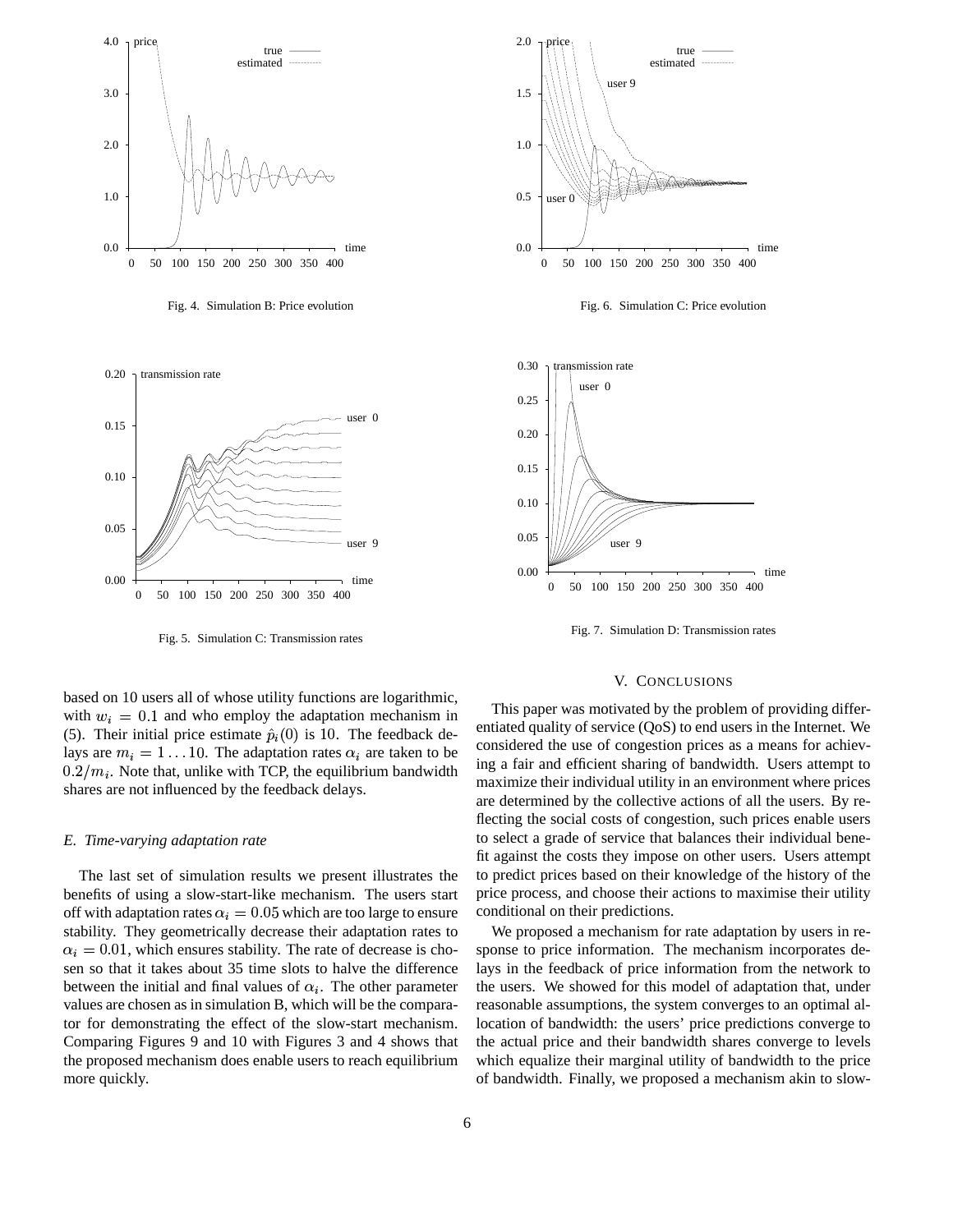

Fig. 4. Simulation B: Price evolution



Fig. 5. Simulation C: Transmission rates

based on 10 users all of whose utility functions are logarithmic, with  $w_i = 0.1$  and who employ the adaptation mechanism in (5). Their initial price estimate  $\hat{p}_i(0)$  is 10. The feedback delays are  $m_i = 1 \dots 10$ . The adaptation rates  $\alpha_i$  are taken to be  $0.2/m_i$ . Note that, unlike with TCP, the equilibrium bandwidth shares are not influenced by the feedback delays.

## *E. Time-varying adaptation rate*

The last set of simulation results we present illustrates the benefits of using a slow-start-like mechanism. The users start off with adaptation rates  $\alpha_i = 0.05$  which are too large to ensure stability. They geometrically decrease their adaptation rates to  $\alpha_i = 0.01$ , which ensures stability. The rate of decrease is chosen so that it takes about 35 time slots to halve the difference between the initial and final values of  $\alpha_i$ . The other parameter values are chosen as in simulation B, which will be the comparator for demonstrating the effect of the slow-start mechanism. Comparing Figures 9 and 10 with Figures 3 and 4 shows that the proposed mechanism does enable users to reach equilibrium more quickly.



Fig. 6. Simulation C: Price evolution



Fig. 7. Simulation D: Transmission rates

### V. CONCLUSIONS

This paper was motivated by the problem of providing differentiated quality of service (QoS) to end users in the Internet. We considered the use of congestion prices as a means for achieving a fair and efficient sharing of bandwidth. Users attempt to maximize their individual utility in an environment where prices are determined by the collective actions of all the users. By reflecting the social costs of congestion, such prices enable users to select a grade of service that balances their individual benefit against the costs they impose on other users. Users attempt to predict prices based on their knowledge of the history of the price process, and choose their actions to maximise their utility conditional on their predictions.

We proposed a mechanism for rate adaptation by users in response to price information. The mechanism incorporates delays in the feedback of price information from the network to the users. We showed for this model of adaptation that, under reasonable assumptions, the system converges to an optimal allocation of bandwidth: the users' price predictions converge to the actual price and their bandwidth shares converge to levels which equalize their marginal utility of bandwidth to the price of bandwidth. Finally, we proposed a mechanism akin to slow-